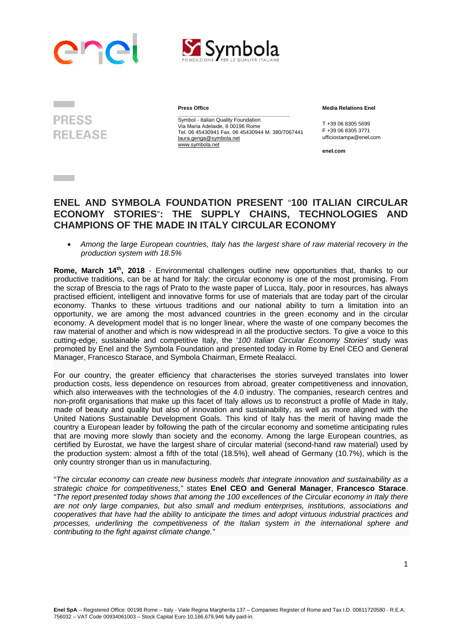



**PRESS RELEASE** 

**Contract Contract** 

**Press Office** 

*\_\_\_\_\_\_\_\_\_\_\_\_\_\_\_\_\_\_\_\_\_\_\_\_\_\_\_\_\_\_\_\_\_\_\_\_\_\_*  Symbol - Italian Quality Foundation Via Maria Adelaide, 8 00196 Rome Tel. 06 45430941 Fax. 06 45430944 M. 380/7067441 F +39 06 8305 3771 laura.genga@symbola.net www.symbola.net

 **Media Relations Enel** 

T +39 06 8305 5699<br>E +39 06 8305 3771 ufficiostampa@enel.com

**enel.com**

## **ENEL AND SYMBOLA FOUNDATION PRESENT** "**100 ITALIAN CIRCULAR ECONOMY STORIES**"**: THE SUPPLY CHAINS, TECHNOLOGIES AND CHAMPIONS OF THE MADE IN ITALY CIRCULAR ECONOMY**

 *Among the large European countries, Italy has the largest share of raw material recovery in the production system with 18.5%*

**Rome, March 14th, 2018** - Environmental challenges outline new opportunities that, thanks to our productive traditions, can be at hand for Italy: the circular economy is one of the most promising. From the scrap of Brescia to the rags of Prato to the waste paper of Lucca, Italy, poor in resources, has always practised efficient, intelligent and innovative forms for use of materials that are today part of the circular economy. Thanks to these virtuous traditions and our national ability to turn a limitation into an opportunity, we are among the most advanced countries in the green economy and in the circular economy. A development model that is no longer linear, where the waste of one company becomes the raw material of another and which is now widespread in all the productive sectors. To give a voice to this cutting-edge, sustainable and competitive Italy, the '*100 Italian Circular Economy Stories*' study was promoted by Enel and the Symbola Foundation and presented today in Rome by Enel CEO and General Manager, Francesco Starace, and Symbola Chairman, Ermete Realacci.

For our country, the greater efficiency that characterises the stories surveyed translates into lower production costs, less dependence on resources from abroad, greater competitiveness and innovation, which also interweaves with the technologies of the 4.0 industry. The companies, research centres and non-profit organisations that make up this facet of Italy allows us to reconstruct a profile of Made in Italy, made of beauty and quality but also of innovation and sustainability, as well as more aligned with the United Nations Sustainable Development Goals. This kind of Italy has the merit of having made the country a European leader by following the path of the circular economy and sometime anticipating rules that are moving more slowly than society and the economy. Among the large European countries, as certified by Eurostat, we have the largest share of circular material (second-hand raw material) used by the production system: almost a fifth of the total (18.5%), well ahead of Germany (10.7%), which is the only country stronger than us in manufacturing.

"*The circular economy can create new business models that integrate innovation and sustainability as a strategic choice for competitiveness,"* states **Enel CEO and General Manager**, **Francesco Starace**. "*The report presented today shows that among the 100 excellences of the Circular economy in Italy there are not only large companies, but also small and medium enterprises, institutions, associations and cooperatives that have had the ability to anticipate the times and adopt virtuous industrial practices and processes, underlining the competitiveness of the Italian system in the international sphere and contributing to the fight against climate change."*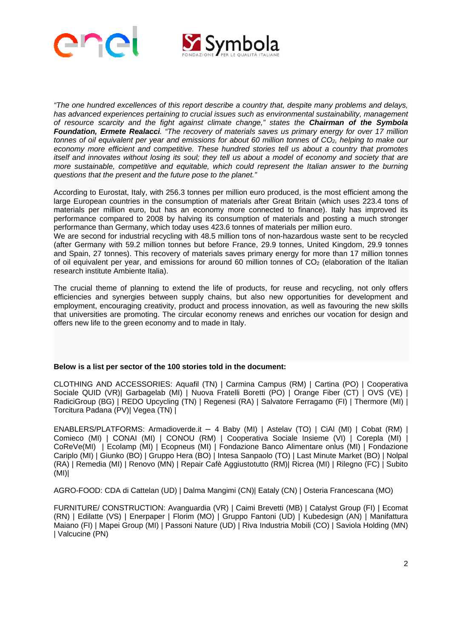



*"The one hundred excellences of this report describe a country that, despite many problems and delays, has advanced experiences pertaining to crucial issues such as environmental sustainability, management of resource scarcity and the fight against climate change," states the Chairman of the Symbola Foundation, Ermete Realacci. "The recovery of materials saves us primary energy for over 17 million tonnes of oil equivalent per year and emissions for about 60 million tonnes of CO2, helping to make our economy more efficient and competitive. These hundred stories tell us about a country that promotes itself and innovates without losing its soul; they tell us about a model of economy and society that are more sustainable, competitive and equitable, which could represent the Italian answer to the burning questions that the present and the future pose to the planet."*

According to Eurostat, Italy, with 256.3 tonnes per million euro produced, is the most efficient among the large European countries in the consumption of materials after Great Britain (which uses 223.4 tons of materials per million euro, but has an economy more connected to finance). Italy has improved its performance compared to 2008 by halving its consumption of materials and posting a much stronger performance than Germany, which today uses 423.6 tonnes of materials per million euro.

We are second for industrial recycling with 48.5 million tons of non-hazardous waste sent to be recycled (after Germany with 59.2 million tonnes but before France, 29.9 tonnes, United Kingdom, 29.9 tonnes and Spain, 27 tonnes). This recovery of materials saves primary energy for more than 17 million tonnes of oil equivalent per year, and emissions for around 60 million tonnes of  $CO<sub>2</sub>$  (elaboration of the Italian research institute Ambiente Italia).

The crucial theme of planning to extend the life of products, for reuse and recycling, not only offers efficiencies and synergies between supply chains, but also new opportunities for development and employment, encouraging creativity, product and process innovation, as well as favouring the new skills that universities are promoting. The circular economy renews and enriches our vocation for design and offers new life to the green economy and to made in Italy.

## **Below is a list per sector of the 100 stories told in the document:**

CLOTHING AND ACCESSORIES: Aquafil (TN) | Carmina Campus (RM) | Cartina (PO) | Cooperativa Sociale QUID (VR)| Garbagelab (MI) | Nuova Fratelli Boretti (PO) | Orange Fiber (CT) | OVS (VE) | RadiciGroup (BG) | REDO Upcycling (TN) | Regenesi (RA) | Salvatore Ferragamo (FI) | Thermore (MI) | Torcitura Padana (PV)| Vegea (TN) |

ENABLERS/PLATFORMS: Armadioverde.it – 4 Baby (MI) | Astelav (TO) | CiAl (MI) | Cobat (RM) | Comieco (MI) | CONAI (MI) | CONOU (RM) | Cooperativa Sociale Insieme (VI) | Corepla (MI) | CoReVe(MI) | Ecolamp (MI) | Ecopneus (MI) | Fondazione Banco Alimentare onlus (MI) | Fondazione Cariplo (MI) | Giunko (BO) | Gruppo Hera (BO) | Intesa Sanpaolo (TO) | Last Minute Market (BO) | Nolpal (RA) | Remedia (MI) | Renovo (MN) | Repair Cafè Aggiustotutto (RM)| Ricrea (MI) | Rilegno (FC) | Subito (MI)|

AGRO-FOOD: CDA di Cattelan (UD) | Dalma Mangimi (CN)| Eataly (CN) | Osteria Francescana (MO)

FURNITURE/ CONSTRUCTION: Avanguardia (VR) | Caimi Brevetti (MB) | Catalyst Group (FI) | Ecomat (RN) | Edilatte (VS) | Enerpaper | Florim (MO) | Gruppo Fantoni (UD) | Kubedesign (AN) | Manifattura Maiano (FI) | Mapei Group (MI) | Passoni Nature (UD) | Riva Industria Mobili (CO) | Saviola Holding (MN) | Valcucine (PN)